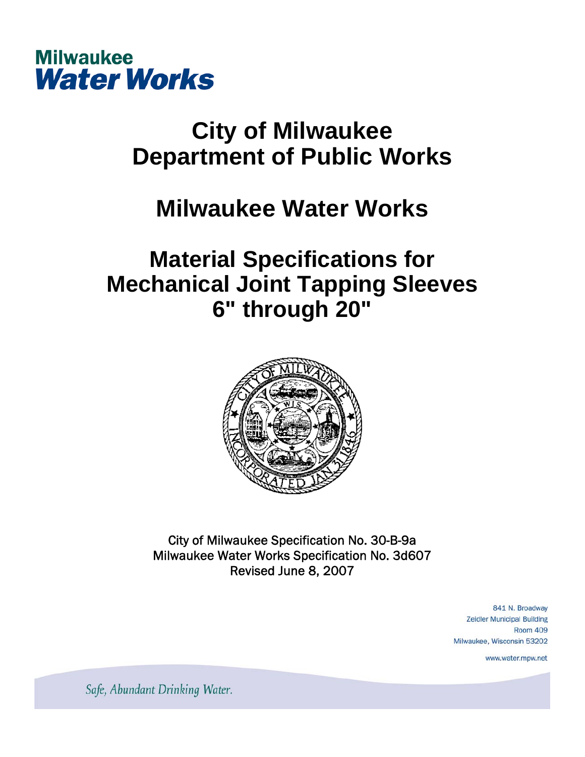

# **City of Milwaukee Department of Public Works**

# **Milwaukee Water Works**

## **Material Specifications for Mechanical Joint Tapping Sleeves 6" through 20"**



City of Milwaukee Specification No. 30-B-9a Milwaukee Water Works Specification No. 3d607 Revised June 8, 2007

> 841 N. Broadway **Zeidler Municipal Building Room 409** Milwaukee, Wisconsin 53202

> > www.water.mpw.net

Safe, Abundant Drinking Water.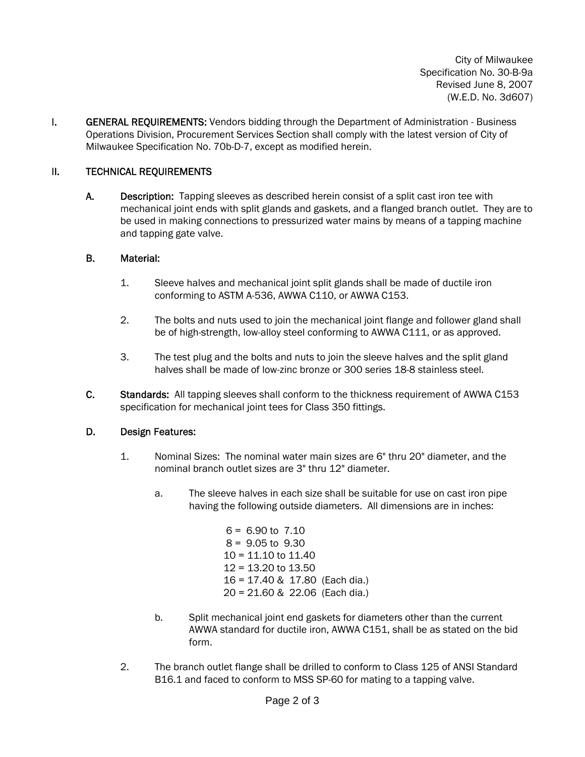City of Milwaukee Specification No. 30-B-9a Revised June 8, 2007 (W.E.D. No. 3d607)

**I. GENERAL REQUIREMENTS:** Vendors bidding through the Department of Administration - Business Operations Division, Procurement Services Section shall comply with the latest version of City of Milwaukee Specification No. 70b-D-7, except as modified herein.

### II. TECHNICAL REQUIREMENTS

A. Description: Tapping sleeves as described herein consist of a split cast iron tee with mechanical joint ends with split glands and gaskets, and a flanged branch outlet. They are to be used in making connections to pressurized water mains by means of a tapping machine and tapping gate valve.

### B. Material:

- 1. Sleeve halves and mechanical joint split glands shall be made of ductile iron conforming to ASTM A-536, AWWA C110, or AWWA C153.
- 2. The bolts and nuts used to join the mechanical joint flange and follower gland shall be of high-strength, low-alloy steel conforming to AWWA C111, or as approved.
- 3. The test plug and the bolts and nuts to join the sleeve halves and the split gland halves shall be made of low-zinc bronze or 300 series 18-8 stainless steel.
- C. Standards: All tapping sleeves shall conform to the thickness requirement of AWWA C153 specification for mechanical joint tees for Class 350 fittings.

### D. Design Features:

- 1. Nominal Sizes: The nominal water main sizes are 6" thru 20" diameter, and the nominal branch outlet sizes are 3" thru 12" diameter.
	- a. The sleeve halves in each size shall be suitable for use on cast iron pipe having the following outside diameters. All dimensions are in inches:

 $6 = 6.90$  to  $7.10$  $8 = 9.05$  to  $9.30$ 10 = 11.10 to 11.40 12 = 13.20 to 13.50 16 = 17.40 & 17.80 (Each dia.) 20 = 21.60 & 22.06 (Each dia.)

- b. Split mechanical joint end gaskets for diameters other than the current AWWA standard for ductile iron, AWWA C151, shall be as stated on the bid form.
- 2. The branch outlet flange shall be drilled to conform to Class 125 of ANSI Standard B16.1 and faced to conform to MSS SP-60 for mating to a tapping valve.